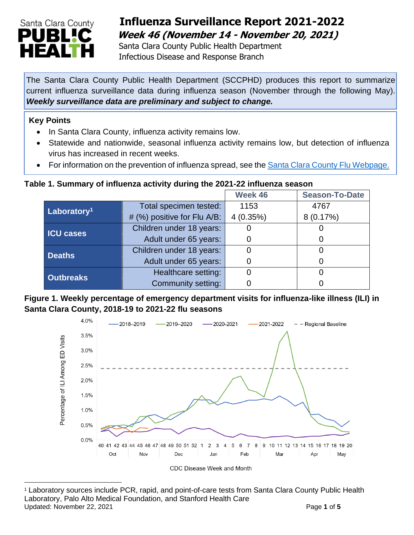

# **Influenza Surveillance Report 2021-2022 Week 46 (November 14 - November 20, 2021)**

Santa Clara County Public Health Department Infectious Disease and Response Branch

The Santa Clara County Public Health Department (SCCPHD) produces this report to summarize current influenza surveillance data during influenza season (November through the following May). *Weekly surveillance data are preliminary and subject to change.* 

#### **Key Points**

- In Santa Clara County, influenza activity remains low.
- Statewide and nationwide, seasonal influenza activity remains low, but detection of influenza virus has increased in recent weeks.
- For information on the prevention of influenza spread, see the [Santa Clara County Flu Webpage.](https://publichealth.sccgov.org/disease-information/influenza-flu)

### **Table 1. Summary of influenza activity during the 2021-22 influenza season**

|                         |                             | Week 46  | <b>Season-To-Date</b> |
|-------------------------|-----------------------------|----------|-----------------------|
| Laboratory <sup>1</sup> | Total specimen tested:      | 1153     | 4767                  |
|                         | # (%) positive for Flu A/B: | 4(0.35%) | 8(0.17%)              |
| <b>ICU cases</b>        | Children under 18 years:    |          |                       |
|                         | Adult under 65 years:       |          | 0                     |
| <b>Deaths</b>           | Children under 18 years:    |          |                       |
|                         | Adult under 65 years:       |          |                       |
| <b>Outbreaks</b>        | Healthcare setting:         |          |                       |
|                         | Community setting:          |          |                       |

### **Figure 1. Weekly percentage of emergency department visits for influenza-like illness (ILI) in Santa Clara County, 2018-19 to 2021-22 flu seasons**



CDC Disease Week and Month

Updated: November 22, 2021 **Page 1** of 5 <sup>1</sup> Laboratory sources include PCR, rapid, and point-of-care tests from Santa Clara County Public Health Laboratory, Palo Alto Medical Foundation, and Stanford Health Care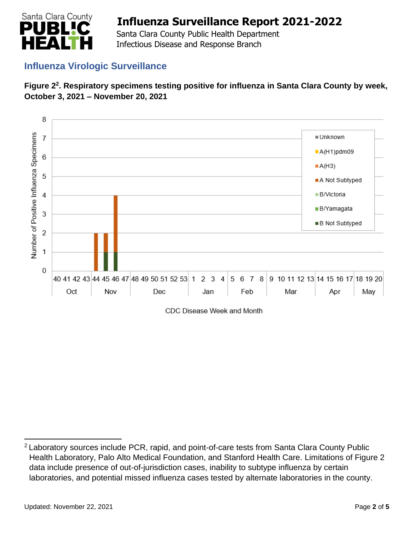

 Santa Clara County Public Health Department Infectious Disease and Response Branch

## **Influenza Virologic Surveillance**





CDC Disease Week and Month

<sup>2</sup> Laboratory sources include PCR, rapid, and point-of-care tests from Santa Clara County Public Health Laboratory, Palo Alto Medical Foundation, and Stanford Health Care. Limitations of Figure 2 data include presence of out-of-jurisdiction cases, inability to subtype influenza by certain laboratories, and potential missed influenza cases tested by alternate laboratories in the county.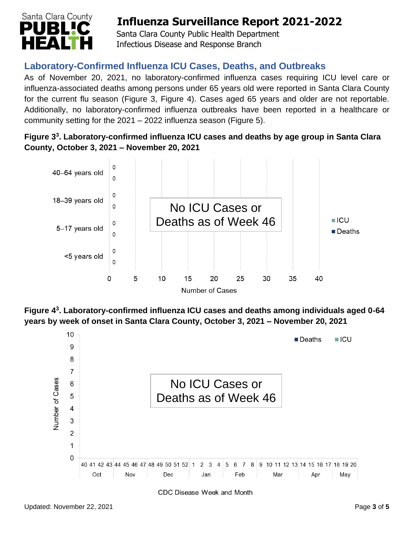

Santa Clara County Public Health Department Infectious Disease and Response Branch

## **Laboratory-Confirmed Influenza ICU Cases, Deaths, and Outbreaks**

As of November 20, 2021, no laboratory-confirmed influenza cases requiring ICU level care or influenza-associated deaths among persons under 65 years old were reported in Santa Clara County for the current flu season (Figure 3, Figure 4). Cases aged 65 years and older are not reportable. Additionally, no laboratory-confirmed influenza outbreaks have been reported in a healthcare or community setting for the 2021 – 2022 influenza season (Figure 5).

**Figure 3 3 . Laboratory-confirmed influenza ICU cases and deaths by age group in Santa Clara County, October 3, 2021 – November 20, 2021**



**Figure 4 3 . Laboratory-confirmed influenza ICU cases and deaths among individuals aged 0-64 years by week of onset in Santa Clara County, October 3, 2021 – November 20, 2021**



**CDC Disease Week and Month**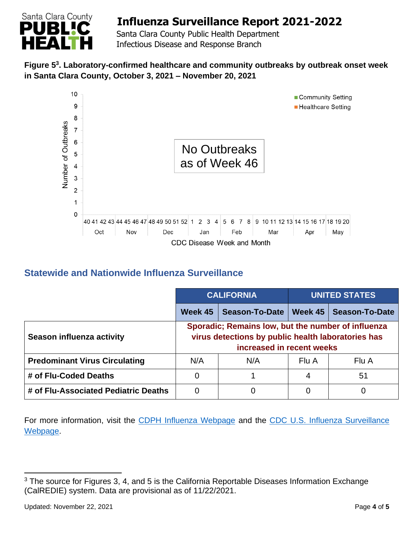

 Santa Clara County Public Health Department Infectious Disease and Response Branch

### **Figure 5 3 . Laboratory-confirmed healthcare and community outbreaks by outbreak onset week in Santa Clara County, October 3, 2021 – November 20, 2021**



## **Statewide and Nationwide Influenza Surveillance**

|                                      | <b>CALIFORNIA</b>                                                                                                                     |                       | <b>UNITED STATES</b> |                       |  |
|--------------------------------------|---------------------------------------------------------------------------------------------------------------------------------------|-----------------------|----------------------|-----------------------|--|
|                                      | Week 45                                                                                                                               | <b>Season-To-Date</b> | Week 45              | <b>Season-To-Date</b> |  |
| Season influenza activity            | Sporadic; Remains low, but the number of influenza<br>virus detections by public health laboratories has<br>increased in recent weeks |                       |                      |                       |  |
| <b>Predominant Virus Circulating</b> | N/A                                                                                                                                   | N/A                   | Flu A                | Flu A                 |  |
| # of Flu-Coded Deaths                | 0                                                                                                                                     |                       | 4                    | 51                    |  |
| # of Flu-Associated Pediatric Deaths | 0                                                                                                                                     | 0                     | 0                    | 0                     |  |

For more information, visit the [CDPH Influenza Webpage](http://www.cdph.ca.gov/Programs/CID/DCDC/Pages/Immunization/Influenza.aspx) and the CDC U.S. Influenza Surveillance [Webpage.](http://www.cdc.gov/flu/weekly/)

<sup>&</sup>lt;sup>3</sup> The source for Figures 3, 4, and 5 is the California Reportable Diseases Information Exchange (CalREDIE) system. Data are provisional as of 11/22/2021.